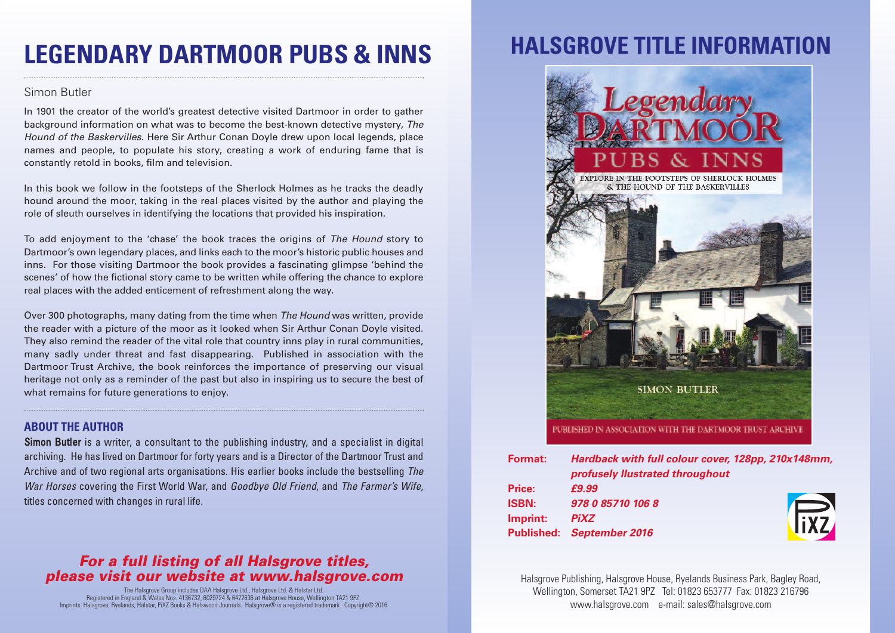# **LEGENDARY DARTMOOR PUBS & INNS**

#### Simon Butler

In 1901 the creator of the world's greatest detective visited Dartmoor in order to gather background information on what was to become the best-known detective mystery, *The Hound of the Baskervilles*. Here Sir Arthur Conan Doyle drew upon local legends, place names and people, to populate his story, creating a work of enduring fame that is constantly retold in books, film and television.

In this book we follow in the footsteps of the Sherlock Holmes as he tracks the deadly hound around the moor, taking in the real places visited by the author and playing the role of sleuth ourselves in identifying the locations that provided his inspiration.

To add enjoyment to the 'chase' the book traces the origins of *The Hound* story to Dartmoor's own legendary places, and links each to the moor's historic public houses and inns. For those visiting Dartmoor the book provides a fascinating glimpse 'behind the scenes' of how the fictional story came to be written while offering the chance to explore real places with the added enticement of refreshment along the way.

Over 300 photographs, many dating from the time when *The Hound* was written, provide the reader with a picture of the moor as it looked when Sir Arthur Conan Doyle visited. They also remind the reader of the vital role that country inns play in rural communities, many sadly under threat and fast disappearing. Published in association with the Dartmoor Trust Archive, the book reinforces the importance of preserving our visual heritage not only as a reminder of the past but also in inspiring us to secure the best of what remains for future generations to enjoy.

#### **ABOUT THE AUTHOR**

**Simon Butler** is a writer, a consultant to the publishing industry, and a specialist in digital archiving. He has lived on Dartmoor for forty years and is a Director of the Dartmoor Trust and Archive and of two regional arts organisations. His earlier books include the bestselling *The War Horses* covering the First World War, and *Goodbye Old Friend*, and *The Farmer's Wife*, titles concerned with changes in rural life.

### *For a full listing of all Halsgrove titles, please visit our website at www.halsgrove.com*

The Halsgrove Group includes DAA Halsgrove Ltd., Halsgrove Ltd. & Halstar Ltd. Registered in England & Wales Nos. 4136732, 6029724 & 6472636 at Halsgrove House, Wellington TA21 9PZ. Imprints: Halsgrove, Ryelands, Halstar, PiXZ Books & Halswood Journals. Halsgrove® is a registered trademark. Copyright© 2016

## **HALSGROVE TITLE INFORMAT**



| Format:      | Hardback with full colour cover, 128pp, 210x148mm, |       |
|--------------|----------------------------------------------------|-------|
|              | profusely llustrated throughout                    |       |
| Price:       | £9.99                                              |       |
| <b>ISBN:</b> | 978 0 85710 106 8                                  |       |
| Imprint:     | <b>PiXZ</b>                                        | lixz. |
|              | Published: September 2016                          |       |
|              |                                                    |       |

Halsgrove Publishing, Halsgrove House, Ryelands Business Park, Bagley Road, Wellington, Somerset TA21 9PZ Tel: 01823 653777 Fax: 01823 216796 www.halsgrove.com e-mail: sales@halsgrove.com